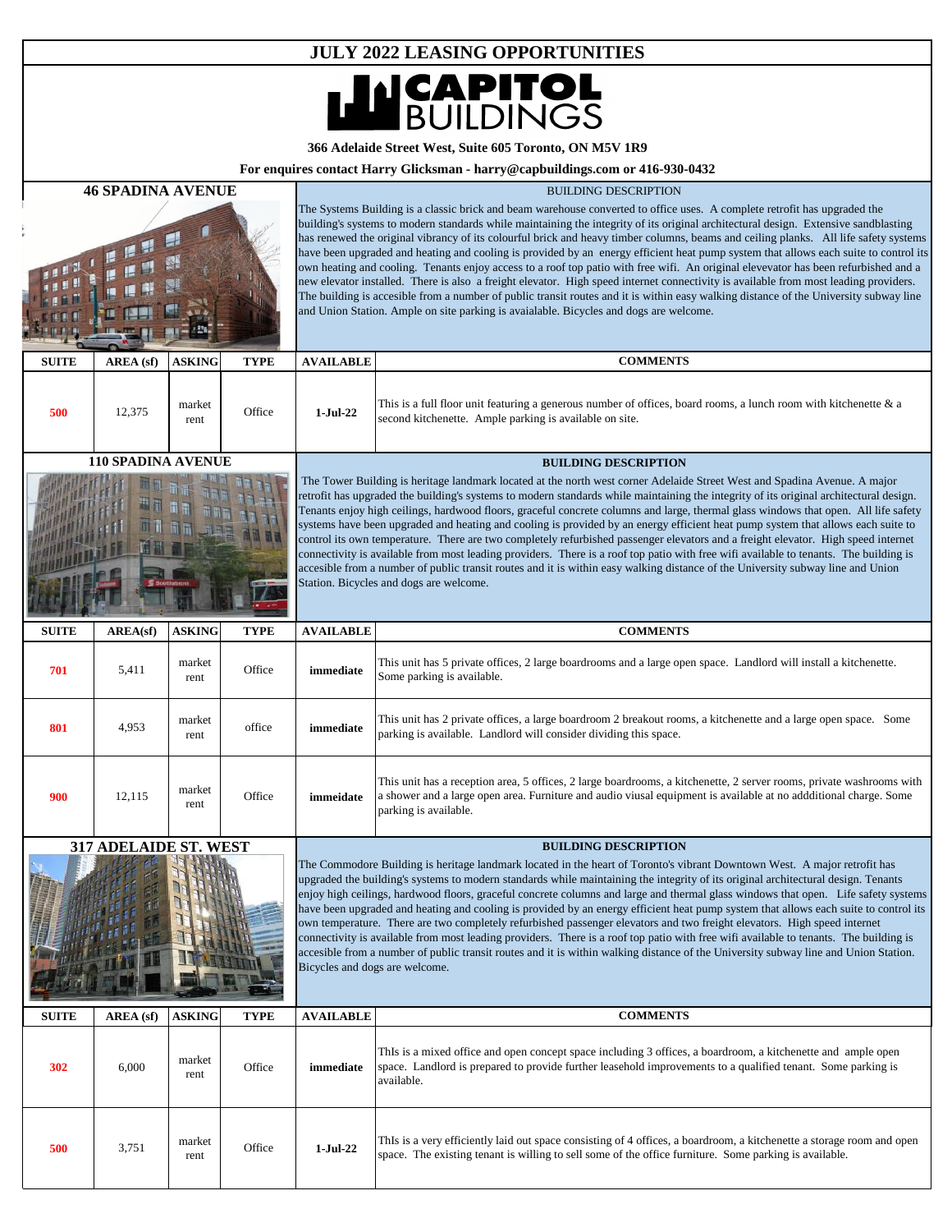

**366 Adelaide Street West, Suite 605 Toronto, ON M5V 1R9** 

**For enquires contact Harry Glicksman - harry@capbuildings.com or 416-930-0432**

| <b>46 SPADINA AVENUE</b> |                           |                |             | <b>BUILDING DESCRIPTION</b>                                                                                                                                                                                                                                                                                                                                                                                                                                                                                                                                                                                                                                                                                                                                                                                                                                                                                                                                                                |                                                                                                                                                                                                                                                                                                                                                                                                                                                                                                                                                                                                                                                                                                                                                                                                                                                                                                                                                                                                                                                                    |  |
|--------------------------|---------------------------|----------------|-------------|--------------------------------------------------------------------------------------------------------------------------------------------------------------------------------------------------------------------------------------------------------------------------------------------------------------------------------------------------------------------------------------------------------------------------------------------------------------------------------------------------------------------------------------------------------------------------------------------------------------------------------------------------------------------------------------------------------------------------------------------------------------------------------------------------------------------------------------------------------------------------------------------------------------------------------------------------------------------------------------------|--------------------------------------------------------------------------------------------------------------------------------------------------------------------------------------------------------------------------------------------------------------------------------------------------------------------------------------------------------------------------------------------------------------------------------------------------------------------------------------------------------------------------------------------------------------------------------------------------------------------------------------------------------------------------------------------------------------------------------------------------------------------------------------------------------------------------------------------------------------------------------------------------------------------------------------------------------------------------------------------------------------------------------------------------------------------|--|
|                          |                           |                |             |                                                                                                                                                                                                                                                                                                                                                                                                                                                                                                                                                                                                                                                                                                                                                                                                                                                                                                                                                                                            | The Systems Building is a classic brick and beam warehouse converted to office uses. A complete retrofit has upgraded the<br>building's systems to modern standards while maintaining the integrity of its original architectural design. Extensive sandblasting<br>has renewed the original vibrancy of its colourful brick and heavy timber columns, beams and ceiling planks. All life safety systems<br>have been upgraded and heating and cooling is provided by an energy efficient heat pump system that allows each suite to control its<br>own heating and cooling. Tenants enjoy access to a roof top patio with free wifi. An original elevevator has been refurbished and a<br>new elevator installed. There is also a freight elevator. High speed internet connectivity is available from most leading providers.<br>The building is accesible from a number of public transit routes and it is within easy walking distance of the University subway line<br>and Union Station. Ample on site parking is avaialable. Bicycles and dogs are welcome. |  |
| <b>SUITE</b>             | AREA (sf)                 | <b>ASKING</b>  | <b>TYPE</b> | <b>AVAILABLE</b>                                                                                                                                                                                                                                                                                                                                                                                                                                                                                                                                                                                                                                                                                                                                                                                                                                                                                                                                                                           | <b>COMMENTS</b>                                                                                                                                                                                                                                                                                                                                                                                                                                                                                                                                                                                                                                                                                                                                                                                                                                                                                                                                                                                                                                                    |  |
| 500                      | 12,375                    | market<br>rent | Office      | $1-Jul-22$                                                                                                                                                                                                                                                                                                                                                                                                                                                                                                                                                                                                                                                                                                                                                                                                                                                                                                                                                                                 | This is a full floor unit featuring a generous number of offices, board rooms, a lunch room with kitchenette $\&$ a<br>second kitchenette. Ample parking is available on site.                                                                                                                                                                                                                                                                                                                                                                                                                                                                                                                                                                                                                                                                                                                                                                                                                                                                                     |  |
|                          | <b>110 SPADINA AVENUE</b> |                |             |                                                                                                                                                                                                                                                                                                                                                                                                                                                                                                                                                                                                                                                                                                                                                                                                                                                                                                                                                                                            | <b>BUILDING DESCRIPTION</b>                                                                                                                                                                                                                                                                                                                                                                                                                                                                                                                                                                                                                                                                                                                                                                                                                                                                                                                                                                                                                                        |  |
|                          |                           |                |             |                                                                                                                                                                                                                                                                                                                                                                                                                                                                                                                                                                                                                                                                                                                                                                                                                                                                                                                                                                                            | The Tower Building is heritage landmark located at the north west corner Adelaide Street West and Spadina Avenue. A major<br>retrofit has upgraded the building's systems to modern standards while maintaining the integrity of its original architectural design.<br>Tenants enjoy high ceilings, hardwood floors, graceful concrete columns and large, thermal glass windows that open. All life safety<br>systems have been upgraded and heating and cooling is provided by an energy efficient heat pump system that allows each suite to<br>control its own temperature. There are two completely refurbished passenger elevators and a freight elevator. High speed internet<br>connectivity is available from most leading providers. There is a roof top patio with free wifi available to tenants. The building is<br>accesible from a number of public transit routes and it is within easy walking distance of the University subway line and Union<br>Station. Bicycles and dogs are welcome.                                                         |  |
| <b>SUITE</b>             | AREA(sf)                  | <b>ASKING</b>  | <b>TYPE</b> | <b>AVAILABLE</b>                                                                                                                                                                                                                                                                                                                                                                                                                                                                                                                                                                                                                                                                                                                                                                                                                                                                                                                                                                           | <b>COMMENTS</b>                                                                                                                                                                                                                                                                                                                                                                                                                                                                                                                                                                                                                                                                                                                                                                                                                                                                                                                                                                                                                                                    |  |
| 701                      | 5,411                     | market<br>rent | Office      | immediate                                                                                                                                                                                                                                                                                                                                                                                                                                                                                                                                                                                                                                                                                                                                                                                                                                                                                                                                                                                  | This unit has 5 private offices, 2 large boardrooms and a large open space. Landlord will install a kitchenette.<br>Some parking is available.                                                                                                                                                                                                                                                                                                                                                                                                                                                                                                                                                                                                                                                                                                                                                                                                                                                                                                                     |  |
| 801                      | 4,953                     | market<br>rent | office      | immediate                                                                                                                                                                                                                                                                                                                                                                                                                                                                                                                                                                                                                                                                                                                                                                                                                                                                                                                                                                                  | This unit has 2 private offices, a large boardroom 2 breakout rooms, a kitchenette and a large open space. Some<br>parking is available. Landlord will consider dividing this space.                                                                                                                                                                                                                                                                                                                                                                                                                                                                                                                                                                                                                                                                                                                                                                                                                                                                               |  |
| 900                      | 12,115                    | market<br>rent | Office      | immeidate                                                                                                                                                                                                                                                                                                                                                                                                                                                                                                                                                                                                                                                                                                                                                                                                                                                                                                                                                                                  | This unit has a reception area, 5 offices, 2 large boardrooms, a kitchenette, 2 server rooms, private washrooms with<br>a shower and a large open area. Furniture and audio viusal equipment is available at no addditional charge. Some<br>parking is available.                                                                                                                                                                                                                                                                                                                                                                                                                                                                                                                                                                                                                                                                                                                                                                                                  |  |
|                          | 317 ADELAIDE ST. WEST     |                |             |                                                                                                                                                                                                                                                                                                                                                                                                                                                                                                                                                                                                                                                                                                                                                                                                                                                                                                                                                                                            | <b>BUILDING DESCRIPTION</b>                                                                                                                                                                                                                                                                                                                                                                                                                                                                                                                                                                                                                                                                                                                                                                                                                                                                                                                                                                                                                                        |  |
|                          |                           |                |             | The Commodore Building is heritage landmark located in the heart of Toronto's vibrant Downtown West. A major retrofit has<br>upgraded the building's systems to modern standards while maintaining the integrity of its original architectural design. Tenants<br>enjoy high ceilings, hardwood floors, graceful concrete columns and large and thermal glass windows that open. Life safety systems<br>have been upgraded and heating and cooling is provided by an energy efficient heat pump system that allows each suite to control its<br>own temperature. There are two completely refurbished passenger elevators and two freight elevators. High speed internet<br>connectivity is available from most leading providers. There is a roof top patio with free wifi available to tenants. The building is<br>accesible from a number of public transit routes and it is within walking distance of the University subway line and Union Station.<br>Bicycles and dogs are welcome. |                                                                                                                                                                                                                                                                                                                                                                                                                                                                                                                                                                                                                                                                                                                                                                                                                                                                                                                                                                                                                                                                    |  |
| <b>SUITE</b>             | AREA (sf)                 | <b>ASKING</b>  | <b>TYPE</b> | <b>AVAILABLE</b>                                                                                                                                                                                                                                                                                                                                                                                                                                                                                                                                                                                                                                                                                                                                                                                                                                                                                                                                                                           | <b>COMMENTS</b>                                                                                                                                                                                                                                                                                                                                                                                                                                                                                                                                                                                                                                                                                                                                                                                                                                                                                                                                                                                                                                                    |  |
| 302                      | 6,000                     | market<br>rent | Office      | immediate                                                                                                                                                                                                                                                                                                                                                                                                                                                                                                                                                                                                                                                                                                                                                                                                                                                                                                                                                                                  | ThIs is a mixed office and open concept space including 3 offices, a boardroom, a kitchenette and ample open<br>space. Landlord is prepared to provide further leasehold improvements to a qualified tenant. Some parking is<br>available.                                                                                                                                                                                                                                                                                                                                                                                                                                                                                                                                                                                                                                                                                                                                                                                                                         |  |
| 500                      | 3,751                     | market<br>rent | Office      | $1-Jul-22$                                                                                                                                                                                                                                                                                                                                                                                                                                                                                                                                                                                                                                                                                                                                                                                                                                                                                                                                                                                 | ThIs is a very efficiently laid out space consisting of 4 offices, a boardroom, a kitchenette a storage room and open<br>space. The existing tenant is willing to sell some of the office furniture. Some parking is available.                                                                                                                                                                                                                                                                                                                                                                                                                                                                                                                                                                                                                                                                                                                                                                                                                                    |  |